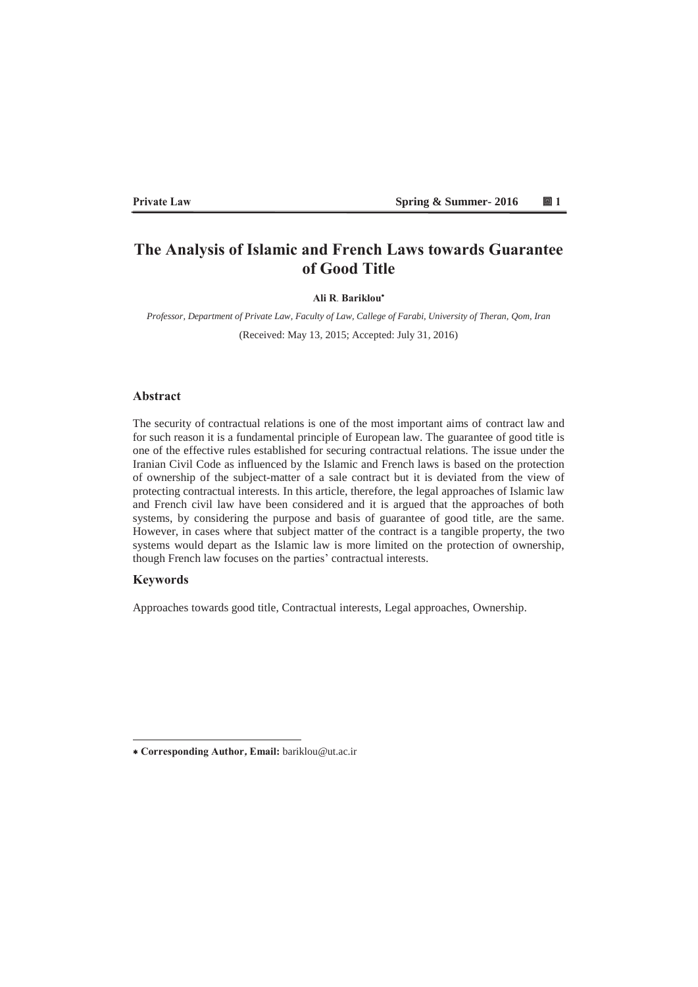#### **3ULYDE Example 2016 ■ 1 & Summer- 2016** ■ 1 & Summer- 2016

# **The Analysis of Islamic and French Laws towards Guarantee** of Good Title

#### **Ali R. Bariklou\***

*Professor, Department of Private Law, Faculty of Law, Callege of Farabi, University of Theran, Qom, Iran* (Received: May 13 2015; Accepted: July 31 2016)

### **Ahstract**

The security of contractual relations is one of the most important aims of contract law and for such reason it is a fundamental principle of European law. The guarantee of good title is one of the effective rules established for securing contractual relations. The issue under the Iranian Civil Code as influenced by the Islamic and French laws is based on the protection of ownership of the subject-matter of a sale contract but it is deviated from the view of protecting contractual interests. In this article, therefore, the legal approaches of Islamic law and French civil law have been considered and it is argued that the approaches of both systems, by considering the purpose and basis of guarantee of good title, are the same. However, in cases where that subject matter of the contract is a tangible property, the two systems would depart as the Islamic law is more limited on the protection of ownership, though French law focuses on the parties' contractual interests.

# **Keywords**

Approaches towards good title, Contractual interests, Legal approaches, Ownership.

 **&RUUHVSRQGLQJ\$XWKRU(PDLO** bariklou@ut.ac.ir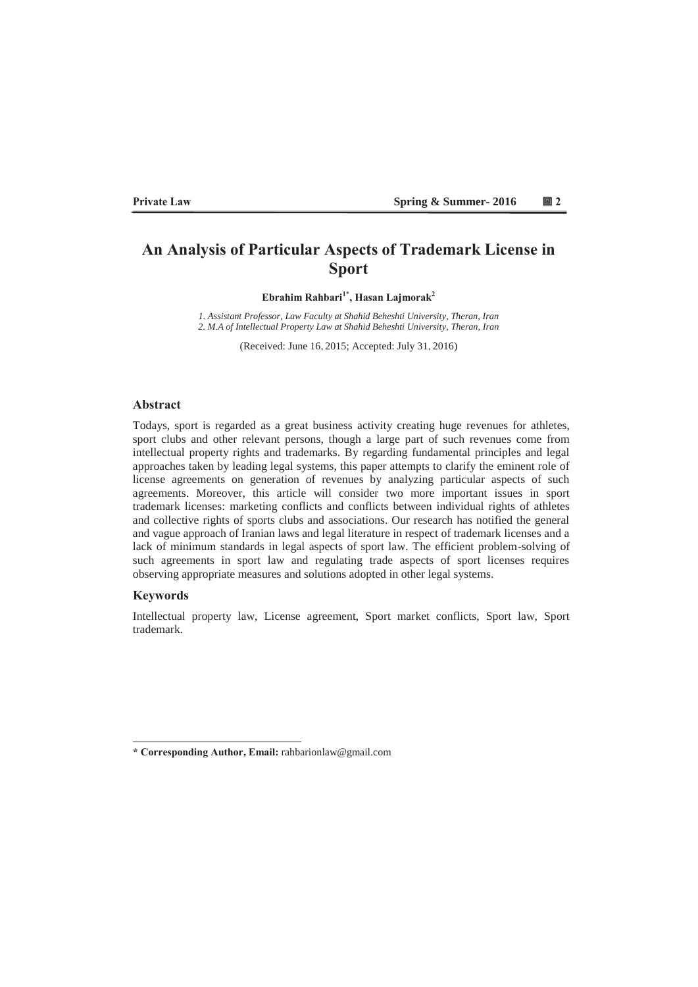#### **3ULYDE Example 2016 C I Spring & Summer- 2016 I I I I**

# An Analysis of Particular Aspects of Trademark License in **Sport**

Ebrahim Rahbari<sup>1\*</sup>, Hasan Lajmorak<sup>2</sup>

*1. Assistant Professor, Law Faculty at Shahid Beheshti University, Theran, Iran 2. M.A of Intellectual Property Law at Shahid Beheshti University, Theran, Iran* 

(Received: June 16, 2015; Accepted: July 31, 2016)

### **Abstract**

Todays, sport is regarded as a great business activity creating huge revenues for athletes, sport clubs and other relevant persons, though a large part of such revenues come from intellectual property rights and trademarks. By regarding fundamental principles and legal approaches taken by leading legal systems, this paper attempts to clarify the eminent role of license agreements on generation of revenues by analyzing particular aspects of such agreements. Moreover, this article will consider two more important issues in sport trademark licenses: marketing conflicts and conflicts between individual rights of athletes and collective rights of sports clubs and associations. Our research has notified the general and vague approach of Iranian laws and legal literature in respect of trademark licenses and a lack of minimum standards in legal aspects of sport law. The efficient problem-solving of such agreements in sport law and regulating trade aspects of sport licenses requires observing appropriate measures and solutions adopted in other legal systems.

## **Keywords**

Intellectual property law, License agreement, Sport market conflicts, Sport law, Sport trademark.

**<sup>\*</sup> Corresponding Author, Email:** rahbarionlaw@gmail.com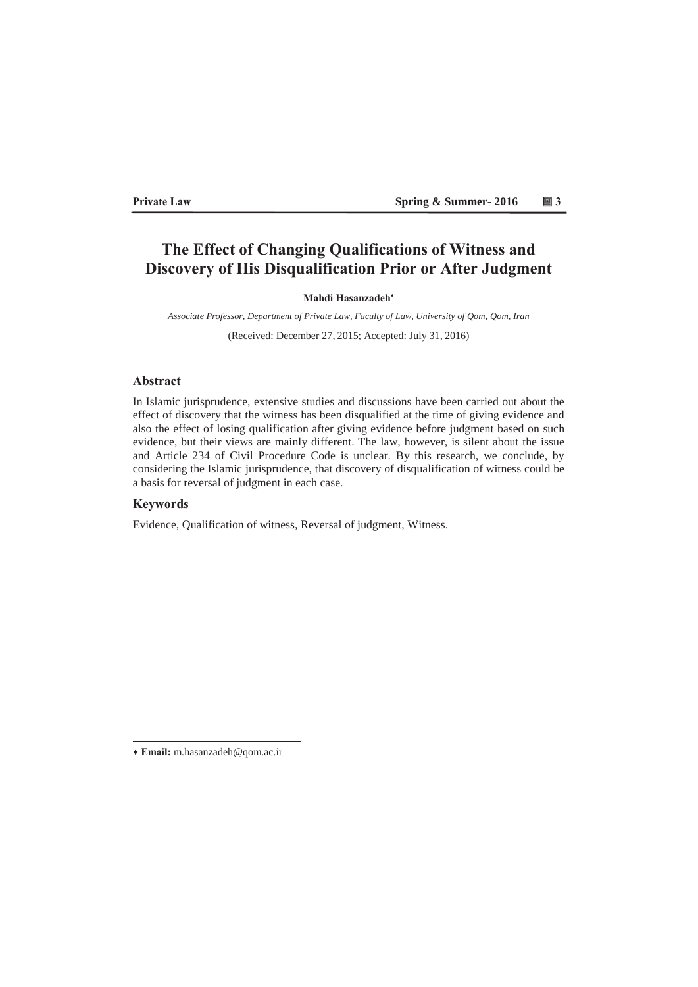#### **Private Law Spring & Summer- 2016** Spring & Summer- 2016

# The Effect of Changing Qualifications of Witness and **Discovery of His Disqualification Prior or After Judgment**

# **Mahdi Hasanzadeh**\*

*Associate Professor, Department of Private Law, Faculty of Law, University of Qom, Qom, Iran* 

(Received: December 27, 2015; Accepted: July 31, 2016)

# **Abstract**

In Islamic jurisprudence, extensive studies and discussions have been carried out about the effect of discovery that the witness has been disqualified at the time of giving evidence and also the effect of losing qualification after giving evidence before judgment based on such evidence, but their views are mainly different. The law, however, is silent about the issue and Article 234 of Civil Procedure Code is unclear. By this research, we conclude, by considering the Islamic jurisprudence, that discovery of disqualification of witness could be a basis for reversal of judgment in each case.

# **Keywords**

Evidence, Qualification of witness, Reversal of judgment, Witness.

**(PDLO**m.hasanzadeh@qom.ac.ir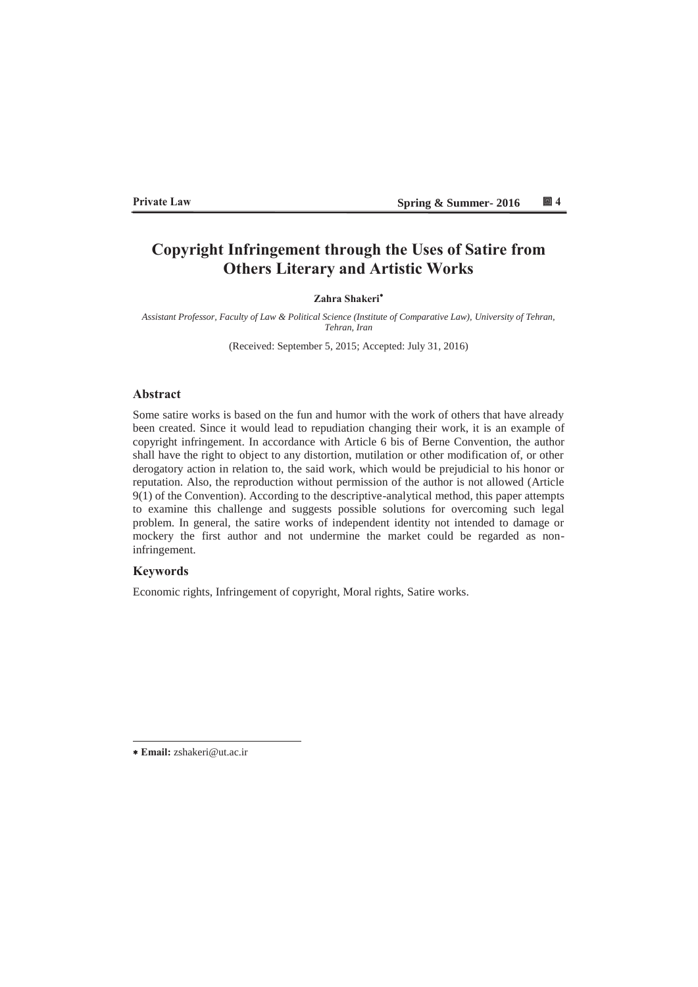#### **3ULYDE External Private Law** Spring & Summer- 2016 14

# Copyright Infringement through the Uses of Satire from **2Where Literary and Artistic Works**

#### **Zahra Shakeri\***

*Assistant Professor, Faculty of Law & Political Science (Institute of Comparative Law), University of Tehran, Tehran, Iran* 

(Received: September 5, 2015; Accepted: July 31, 2016)

### **Abstract**

Some satire works is based on the fun and humor with the work of others that have already been created. Since it would lead to repudiation changing their work, it is an example of copyright infringement. In accordance with Article 6 bis of Berne Convention, the author shall have the right to object to any distortion, mutilation or other modification of, or other derogatory action in relation to, the said work, which would be prejudicial to his honor or reputation. Also, the reproduction without permission of the author is not allowed (Article 9(1) of the Convention). According to the descriptive-analytical method, this paper attempts to examine this challenge and suggests possible solutions for overcoming such legal problem. In general, the satire works of independent identity not intended to damage or mockery the first author and not undermine the market could be regarded as noninfringement.

# **Keywords**

Economic rights, Infringement of copyright, Moral rights, Satire works.

**(PDLO** zshakeri@ut.ac.ir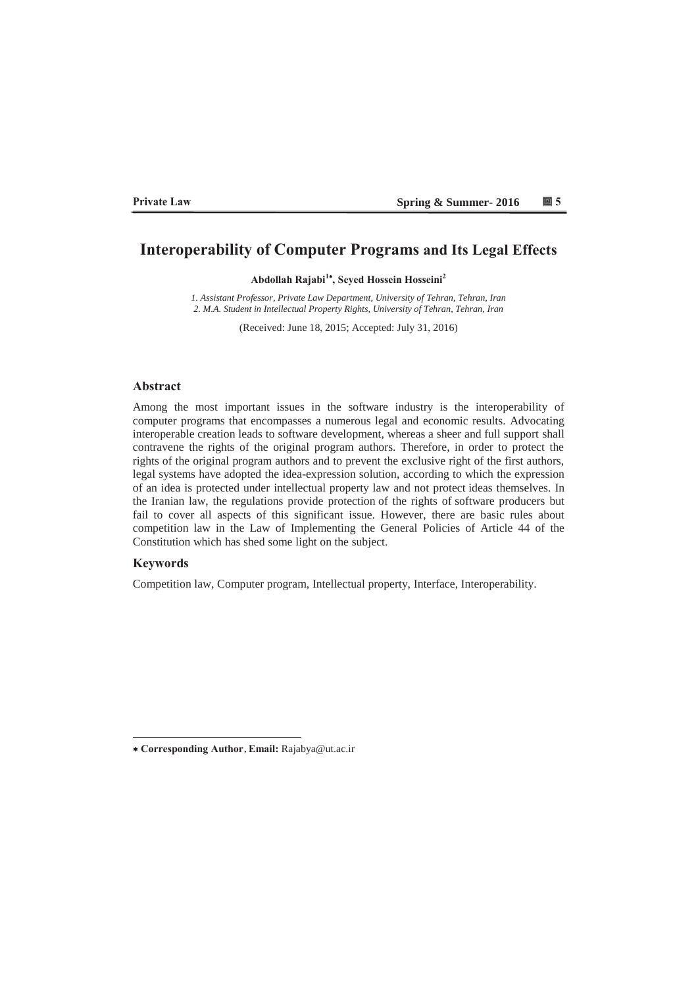#### **3ULYDWH/DZ Spring & Summer- 2016**

# **Interoperability of Computer Programs and Its Legal Effects**

Abdollah Rajabi<sup>1\*</sup>, Seyed Hossein Hosseini<sup>2</sup>

*1. Assistant Professor, Private Law Department, University of Tehran, Tehran, Iran 2. M.A. Student in Intellectual Property Rights, University of Tehran, Tehran, Iran*

(Received: June 18, 2015; Accepted: July 31, 2016)

### **Abstract**

Among the most important issues in the software industry is the interoperability of computer programs that encompasses a numerous legal and economic results. Advocating interoperable creation leads to software development, whereas a sheer and full support shall contravene the rights of the original program authors. Therefore, in order to protect the rights of the original program authors and to prevent the exclusive right of the first authors, legal systems have adopted the idea-expression solution, according to which the expression of an idea is protected under intellectual property law and not protect ideas themselves. In the Iranian law, the regulations provide protection of the rights of software producers but fail to cover all aspects of this significant issue. However, there are basic rules about competition law in the Law of Implementing the General Policies of Article 44 of the Constitution which has shed some light on the subject.

### **Keywords**

Competition law, Computer program, Intellectual property, Interface, Interoperability.

**&RUUHVSRQGLQJ\$XWKRU, (PDLO** Rajabya@ut.ac.ir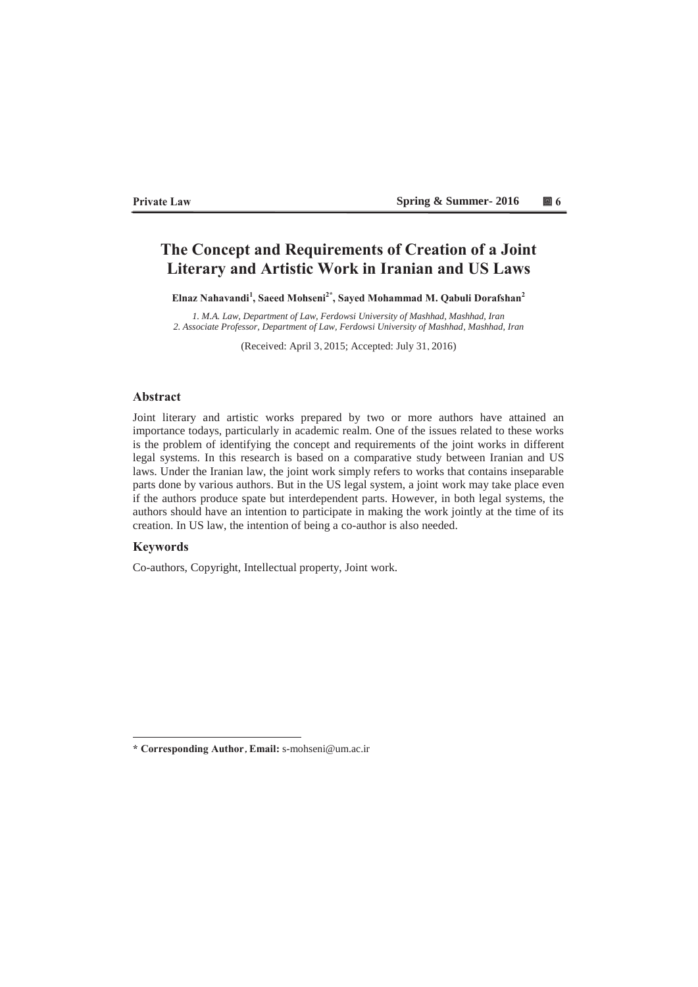#### **3ULYDE EXECUTE: 3ULYDE EXECUTE: 3ULYDE EXECUTE: 3ULYDE EXECUTE: 3ULYDE EXECUTE: 3ULYDE EXECUTE: 3ULYDE EXECUTE: 3ULYDE EXECUTE: 3ULYDE EXECUTE: 3ULYDE EXECUTE: 3ULYDE EXECUTE: 3ULYDE EXECUTE: 3ULYD**

# **The Concept and Requirements of Creation of a Joint** Literary and Artistic Work in Iranian and US Laws

Elnaz Nahavandi<sup>1</sup>, Saeed Mohseni<sup>2\*</sup>, Sayed Mohammad M. Qabuli Dorafshan<sup>2</sup>

*1. M.A. Law, Department of Law, Ferdowsi University of Mashhad, Mashhad, Iran 2. Associate Professor, Department of Law, Ferdowsi University of Mashhad, Mashhad, Iran* 

(Received: April 3, 2015; Accepted: July 31, 2016)

### **Abstract**

Joint literary and artistic works prepared by two or more authors have attained an importance todays, particularly in academic realm. One of the issues related to these works is the problem of identifying the concept and requirements of the joint works in different legal systems. In this research is based on a comparative study between Iranian and US laws. Under the Iranian law, the joint work simply refers to works that contains inseparable parts done by various authors. But in the US legal system, a joint work may take place even if the authors produce spate but interdependent parts. However, in both legal systems, the authors should have an intention to participate in making the work jointly at the time of its creation. In US law, the intention of being a co-author is also needed.

# **Keywords**

Co-authors, Copyright, Intellectual property, Joint work.

<sup>\*</sup> Corresponding Author, Email: s-mohseni@um.ac.ir